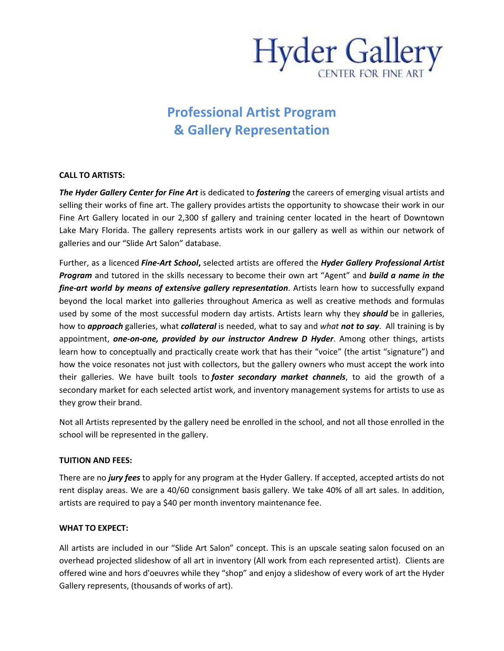

# **Professional Artist Program & Gallery Representation**

### **CALL TO ARTISTS:**

*The Hyder Gallery Center for Fine Art* is dedicated to *fostering* the careers of emerging visual artists and selling their works of fine art. The gallery provides artists the opportunity to showcase their work in our Fine Art Gallery located in our 2,300 sf gallery and training center located in the heart of Downtown Lake Mary Florida. The gallery represents artists work in our gallery as well as within our network of galleries and our "Slide Art Salon" database.

Further, as a licenced *Fine-Art School***,** selected artists are offered the *Hyder Gallery Professional Artist Program* and tutored in the skills necessary to become their own art "Agent" and *build a name in the fine-art world by means of extensive gallery representation*. Artists learn how to successfully expand beyond the local market into galleries throughout America as well as creative methods and formulas used by some of the most successful modern day artists. Artists learn why they *should* be in galleries, how to *approach* galleries, what *collateral* is needed, what to say and *what not to say*. All training is by appointment, *one-on-one, provided by our instructor Andrew D Hyder*. Among other things, artists learn how to conceptually and practically create work that has their "voice" (the artist "signature") and how the voice resonates not just with collectors, but the gallery owners who must accept the work into their galleries. We have built tools to *foster secondary market channels*, to aid the growth of a secondary market for each selected artist work, and inventory management systems for artists to use as they grow their brand.

Not all Artists represented by the gallery need be enrolled in the school, and not all those enrolled in the school will be represented in the gallery.

## **TUITION AND FEES:**

There are no *jury fees* to apply for any program at the Hyder Gallery. If accepted, accepted artists do not rent display areas. We are a 40/60 consignment basis gallery. We take 40% of all art sales. In addition, artists are required to pay a \$40 per month inventory maintenance fee.

## **WHAT TO EXPECT:**

All artists are included in our "Slide Art Salon" concept. This is an upscale seating salon focused on an overhead projected slideshow of all art in inventory (All work from each represented artist). Clients are offered wine and hors d'oeuvres while they "shop" and enjoy a slideshow of every work of art the Hyder Gallery represents, (thousands of works of art).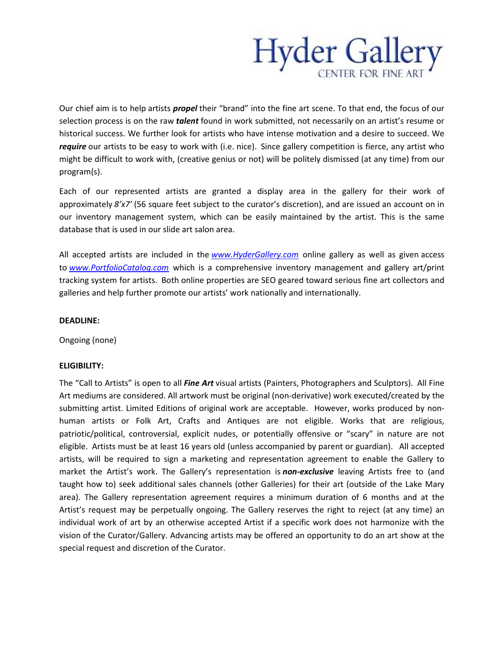

Our chief aim is to help artists *propel* their "brand" into the fine art scene. To that end, the focus of our selection process is on the raw *talent* found in work submitted, not necessarily on an artist's resume or historical success. We further look for artists who have intense motivation and a desire to succeed. We *require* our artists to be easy to work with (i.e. nice). Since gallery competition is fierce, any artist who might be difficult to work with, (creative genius or not) will be politely dismissed (at any time) from our program(s).

Each of our represented artists are granted a display area in the gallery for their work of approximately *8'x7'* (56 square feet subject to the curator's discretion), and are issued an account on in our inventory management system, which can be easily maintained by the artist. This is the same database that is used in our slide art salon area.

All accepted artists are included in the *www.HyderGallery.com* online gallery as well as given access to *www.PortfolioCatalog.com* which is a comprehensive inventory management and gallery art/print tracking system for artists. Both online properties are SEO geared toward serious fine art collectors and galleries and help further promote our artists' work nationally and internationally.

#### **DEADLINE:**

Ongoing (none)

#### **ELIGIBILITY:**

The "Call to Artists" is open to all *Fine Art* visual artists (Painters, Photographers and Sculptors). All Fine Art mediums are considered. All artwork must be original (non-derivative) work executed/created by the submitting artist. Limited Editions of original work are acceptable. However, works produced by nonhuman artists or Folk Art, Crafts and Antiques are not eligible. Works that are religious, patriotic/political, controversial, explicit nudes, or potentially offensive or "scary" in nature are not eligible. Artists must be at least 16 years old (unless accompanied by parent or guardian). All accepted artists, will be required to sign a marketing and representation agreement to enable the Gallery to market the Artist's work. The Gallery's representation is *non-exclusive* leaving Artists free to (and taught how to) seek additional sales channels (other Galleries) for their art (outside of the Lake Mary area). The Gallery representation agreement requires a minimum duration of 6 months and at the Artist's request may be perpetually ongoing. The Gallery reserves the right to reject (at any time) an individual work of art by an otherwise accepted Artist if a specific work does not harmonize with the vision of the Curator/Gallery. Advancing artists may be offered an opportunity to do an art show at the special request and discretion of the Curator.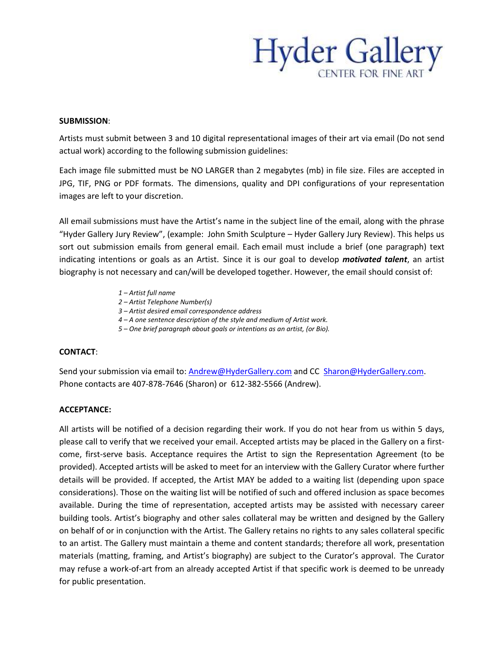

#### **SUBMISSION**:

Artists must submit between 3 and 10 digital representational images of their art via email (Do not send actual work) according to the following submission guidelines:

Each image file submitted must be NO LARGER than 2 megabytes (mb) in file size. Files are accepted in JPG, TIF, PNG or PDF formats. The dimensions, quality and DPI configurations of your representation images are left to your discretion.

All email submissions must have the Artist's name in the subject line of the email, along with the phrase "Hyder Gallery Jury Review", (example: John Smith Sculpture – Hyder Gallery Jury Review). This helps us sort out submission emails from general email. Each email must include a brief (one paragraph) text indicating intentions or goals as an Artist. Since it is our goal to develop *motivated talent*, an artist biography is not necessary and can/will be developed together. However, the email should consist of:

- *1 Artist full name*
- *2 Artist Telephone Number(s)*
- *3 Artist desired email correspondence address*
- *4 A one sentence description of the style and medium of Artist work.*
- *5 One brief paragraph about goals or intentions as an artist, (or Bio).*

#### **CONTACT**:

Send your submission via email to: Andrew@HyderGallery.com and CC Sharon@HyderGallery.com. Phone contacts are 407-878-7646 (Sharon) or 612-382-5566 (Andrew).

#### **ACCEPTANCE:**

All artists will be notified of a decision regarding their work. If you do not hear from us within 5 days, please call to verify that we received your email. Accepted artists may be placed in the Gallery on a firstcome, first-serve basis. Acceptance requires the Artist to sign the Representation Agreement (to be provided). Accepted artists will be asked to meet for an interview with the Gallery Curator where further details will be provided. If accepted, the Artist MAY be added to a waiting list (depending upon space considerations). Those on the waiting list will be notified of such and offered inclusion as space becomes available. During the time of representation, accepted artists may be assisted with necessary career building tools. Artist's biography and other sales collateral may be written and designed by the Gallery on behalf of or in conjunction with the Artist. The Gallery retains no rights to any sales collateral specific to an artist. The Gallery must maintain a theme and content standards; therefore all work, presentation materials (matting, framing, and Artist's biography) are subject to the Curator's approval. The Curator may refuse a work-of-art from an already accepted Artist if that specific work is deemed to be unready for public presentation.